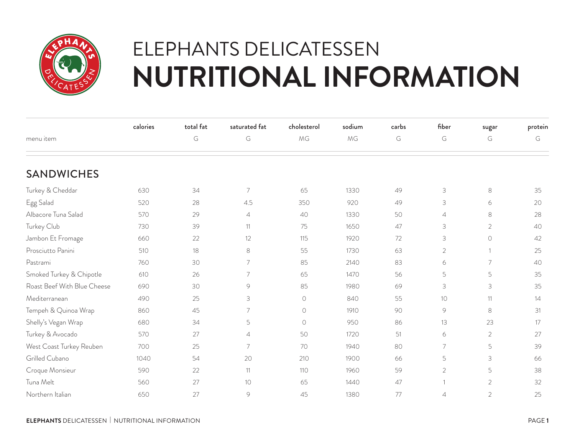

## ELEPHANTS DELICATESSEN **NUTRITIONAL INFORMATION**

|                             | calories | total fat | saturated fat  | cholesterol | sodium | carbs | fiber                     | sugar          | protein |
|-----------------------------|----------|-----------|----------------|-------------|--------|-------|---------------------------|----------------|---------|
| menu item                   |          | G         | G              | MG          | MG     | G     | G                         | G              | G       |
| <b>SANDWICHES</b>           |          |           |                |             |        |       |                           |                |         |
| Turkey & Cheddar            | 630      | 34        | 7              | 65          | 1330   | 49    | $\ensuremath{\mathsf{3}}$ | $\,8\,$        | 35      |
| Egg Salad                   | 520      | 28        | 4.5            | 350         | 920    | 49    | 3                         | 6              | 20      |
| Albacore Tuna Salad         | 570      | 29        | $\overline{4}$ | 40          | 1330   | 50    | $\overline{4}$            | $\,8\,$        | 28      |
| Turkey Club                 | 730      | 39        | 11             | 75          | 1650   | 47    | $\mathsf 3$               | $\overline{2}$ | 40      |
| Jambon Et Fromage           | 660      | 22        | 12             | 115         | 1920   | 72    | 3                         | $\circ$        | 42      |
| Prosciutto Panini           | 510      | 18        | 8              | 55          | 1730   | 63    | $\overline{2}$            | $\overline{1}$ | 25      |
| Pastrami                    | 760      | 30        | 7              | 85          | 2140   | 83    | 6                         | $\overline{7}$ | 40      |
| Smoked Turkey & Chipotle    | 610      | 26        | 7              | 65          | 1470   | 56    | 5                         | 5              | 35      |
| Roast Beef With Blue Cheese | 690      | 30        | 9              | 85          | 1980   | 69    | 3                         | 3              | 35      |
| Mediterranean               | 490      | 25        | 3              | $\bigcirc$  | 840    | 55    | 10                        | 11             | 14      |
| Tempeh & Quinoa Wrap        | 860      | 45        | 7              | $\bigcirc$  | 1910   | 90    | $\circ$                   | 8              | 31      |
| Shelly's Vegan Wrap         | 680      | 34        | 5              | $\circ$     | 950    | 86    | 13                        | 23             | 17      |
| Turkey & Avocado            | 570      | 27        | $\overline{4}$ | 50          | 1720   | 51    | 6                         | $\overline{2}$ | 27      |
| West Coast Turkey Reuben    | 700      | 25        | $\overline{7}$ | 70          | 1940   | 80    | $\overline{7}$            | 5              | 39      |
| Grilled Cubano              | 1040     | 54        | 20             | 210         | 1900   | 66    | 5                         | 3              | 66      |
| Croque Monsieur             | 590      | 22        | 11             | 110         | 1960   | 59    | $\overline{2}$            | 5              | 38      |
| Tuna Melt                   | 560      | 27        | 10             | 65          | 1440   | 47    | $\overline{1}$            | $\overline{2}$ | 32      |
| Northern Italian            | 650      | 27        | 9              | 45          | 1380   | 77    | $\overline{4}$            | $\overline{2}$ | 25      |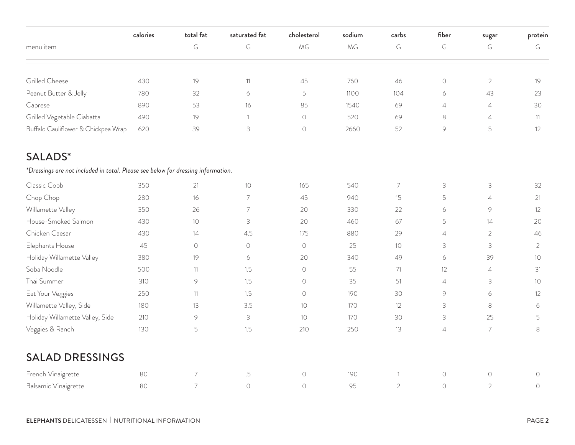|                                                                                  | calories | total fat                | saturated fat  | cholesterol         | sodium | carbs           | fiber                     | sugar                     | protein        |
|----------------------------------------------------------------------------------|----------|--------------------------|----------------|---------------------|--------|-----------------|---------------------------|---------------------------|----------------|
| menu item                                                                        |          | G                        | G              | MG                  | MG     | G               | $\mathsf G$               | G                         | $\mathsf G$    |
| Grilled Cheese                                                                   | 430      | 19                       | 11             | 45                  | 760    | 46              | $\bigcirc$                | $\overline{2}$            | 19             |
| Peanut Butter & Jelly                                                            | 780      | 32                       | 6              | $\mathsf S$         | 1100   | 104             | 6                         | 43                        | 23             |
| Caprese                                                                          | 890      | 53                       | 16             | 85                  | 1540   | 69              | $\overline{4}$            | $\overline{4}$            | 30             |
| Grilled Vegetable Ciabatta                                                       | 490      | 19                       | $\overline{1}$ | $\bigcirc$          | 520    | 69              | $\,8\,$                   | $\overline{4}$            | 11             |
| Buffalo Cauliflower & Chickpea Wrap                                              | 620      | 39                       | $\mathsf 3$    | $\circlearrowright$ | 2660   | 52              | 9                         | 5                         | 12             |
| <b>SALADS*</b>                                                                   |          |                          |                |                     |        |                 |                           |                           |                |
| *Dressings are not included in total. Please see below for dressing information. |          |                          |                |                     |        |                 |                           |                           |                |
| Classic Cobb                                                                     | 350      | 21                       | 10             | 165                 | 540    | $\overline{7}$  | $\ensuremath{\mathsf{3}}$ | $\ensuremath{\mathsf{3}}$ | 32             |
| Chop Chop                                                                        | 280      | 16                       | $\overline{7}$ | 45                  | 940    | 15              | 5                         | $\overline{4}$            | 21             |
| Willamette Valley                                                                | 350      | 26                       | $\overline{7}$ | 20                  | 330    | 22              | 6                         | $\circledcirc$            | 12             |
| House-Smoked Salmon                                                              | 430      | $10$                     | 3              | 20                  | 460    | 67              | 5                         | 14                        | 20             |
| Chicken Caesar                                                                   | 430      | 14                       | 4.5            | 175                 | 880    | 29              | $\overline{4}$            | $\overline{2}$            | 46             |
| Elephants House                                                                  | 45       | $\bigcirc$               | $\circ$        | $\circ$             | 25     | 10 <sup>°</sup> | $\ensuremath{\mathsf{3}}$ | 3                         | $\overline{2}$ |
| Holiday Willamette Valley                                                        | 380      | 19                       | 6              | 20                  | 340    | 49              | 6                         | 39                        | 10             |
| Soba Noodle                                                                      | 500      | 11                       | 1.5            | $\bigcirc$          | 55     | 71              | 12                        | $\overline{4}$            | 31             |
| Thai Summer                                                                      | 310      | $\circledcirc$           | 1.5            | $\circ$             | 35     | 51              | $\overline{4}$            | $\ensuremath{\mathsf{3}}$ | 10             |
| Eat Your Veggies                                                                 | 250      | 11                       | 1.5            | $\bigcirc$          | 190    | 30              | 9                         | 6                         | 12             |
| Willamette Valley, Side                                                          | 180      | 13                       | 3.5            | 10                  | 170    | 12              | 3                         | $\,8\,$                   | 6              |
| Holiday Willamette Valley, Side                                                  | 210      | 9                        | 3              | 10                  | 170    | 30              | $\ensuremath{\mathsf{3}}$ | 25                        | 5              |
| Veggies & Ranch                                                                  | 130      | 5                        | 1.5            | 210                 | 250    | 13              | $\sqrt{4}$                | $\overline{7}$            | 8              |
| <b>SALAD DRESSINGS</b>                                                           |          |                          |                |                     |        |                 |                           |                           |                |
| French Vinaigrette                                                               | 80       | $\overline{\mathcal{I}}$ | $.5\,$         | $\circ$             | 190    | $\mathbf{1}$    | $\bigcirc$                | $\bigcirc$                | $\circ$        |
| Balsamic Vinaigrette                                                             | 80       | $\overline{7}$           | $\circ$        | $\bigcirc$          | 95     | $\overline{2}$  | $\circ$                   | $\overline{2}$            | $\bigcirc$     |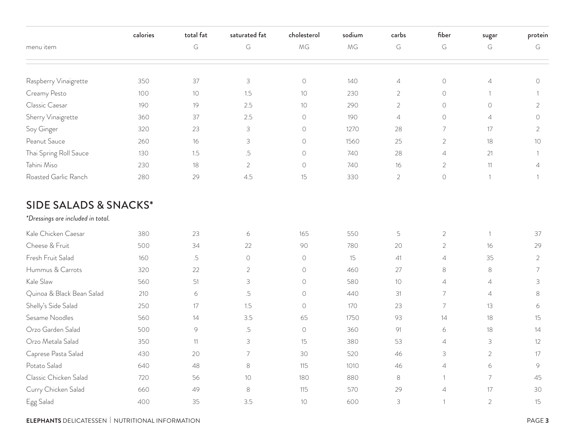|                                   | calories | total fat      | saturated fat  | cholesterol | sodium | carbs          | fiber          | sugar          | protein         |
|-----------------------------------|----------|----------------|----------------|-------------|--------|----------------|----------------|----------------|-----------------|
| menu item                         |          | G              | G              | MG          | MG     | G              | G              | G              | G               |
| Raspberry Vinaigrette             | 350      | 37             | $\mathsf 3$    | $\bigcirc$  | 140    | $\overline{4}$ | $\bigcirc$     | $\overline{4}$ | $\bigcirc$      |
| Creamy Pesto                      | 100      | $10$           | 1.5            | 10          | 230    | $\overline{2}$ | $\circ$        | $\overline{1}$ |                 |
| Classic Caesar                    | 190      | 19             | 2.5            | 10          | 290    | $\overline{2}$ | $\circ$        | $\circ$        | $\overline{2}$  |
| Sherry Vinaigrette                | 360      | 37             | 2.5            | $\circ$     | 190    | $\overline{4}$ | $\circ$        | $\overline{4}$ | $\circ$         |
| Soy Ginger                        | 320      | 23             | 3              | $\circ$     | 1270   | 28             | 7              | 17             | $\overline{2}$  |
| Peanut Sauce                      | 260      | 16             | 3              | $\circ$     | 1560   | 25             | $\overline{2}$ | 18             | 10 <sup>°</sup> |
| Thai Spring Roll Sauce            | 130      | 1.5            | $.5\,$         | $\circ$     | 740    | 28             | $\overline{4}$ | 21             |                 |
| Tahini Miso                       | 230      | 18             | $\overline{2}$ | $\circ$     | 740    | 16             | $\overline{2}$ | 11             | $\overline{4}$  |
| Roasted Garlic Ranch              | 280      | 29             | 4.5            | 15          | 330    | $\overline{2}$ | $\bigcirc$     | $\mathbf{1}$   |                 |
| <b>SIDE SALADS &amp; SNACKS*</b>  |          |                |                |             |        |                |                |                |                 |
| *Dressings are included in total. |          |                |                |             |        |                |                |                |                 |
| Kale Chicken Caesar               | 380      | 23             | 6              | 165         | 550    | 5              | $\overline{c}$ | $\mathbf{1}$   | 37              |
| Cheese & Fruit                    | 500      | 34             | 22             | 90          | 780    | 20             | $\overline{2}$ | 16             | 29              |
| Fresh Fruit Salad                 | 160      | .5             | $\bigcirc$     | $\circ$     | 15     | 41             | $\overline{4}$ | 35             | $\overline{2}$  |
| Hummus & Carrots                  | 320      | 22             | $\overline{c}$ | $\circ$     | 460    | 27             | 8              | 8              | 7               |
| Kale Slaw                         | 560      | 51             | 3              | $\bigcirc$  | 580    | 10             | $\overline{4}$ | $\overline{4}$ | 3               |
| Quinoa & Black Bean Salad         | 210      | 6              | .5             | $\circ$     | 440    | 31             | $\overline{7}$ | $\overline{4}$ | 8               |
| Shelly's Side Salad               | 250      | 17             | 1.5            | $\circ$     | 170    | 23             | 7              | 13             | 6               |
| Sesame Noodles                    | 560      | 14             | 3.5            | 65          | 1750   | 93             | 14             | 18             | 15              |
| Orzo Garden Salad                 | 500      | $\circledcirc$ | $.5\,$         | $\bigcirc$  | 360    | 91             | 6              | 18             | 14              |
| Orzo Metala Salad                 | 350      | 11             | 3              | 15          | 380    | 53             | $\overline{4}$ | 3              | 12              |
| Caprese Pasta Salad               | 430      | 20             | 7              | 30          | 520    | 46             | 3              | $\overline{c}$ | $17\,$          |
| Potato Salad                      | 640      | 48             | 8              | 115         | 1010   | 46             | $\overline{4}$ | 6              | $\mathcal{G}$   |
| Classic Chicken Salad             | 720      | 56             | $10\,$         | 180         | 880    | $\,8\,$        | 1              | $\overline{7}$ | $45\,$          |
| Curry Chicken Salad               | 660      | 49             | $\,8\,$        | $115$       | 570    | 29             | $\overline{4}$ | $17\,$         | $30\,$          |
| Egg Salad                         | 400      | 35             | $3.5\,$        | $10$        | 600    | $\mathcal{S}$  | 1              | $\overline{2}$ | 15              |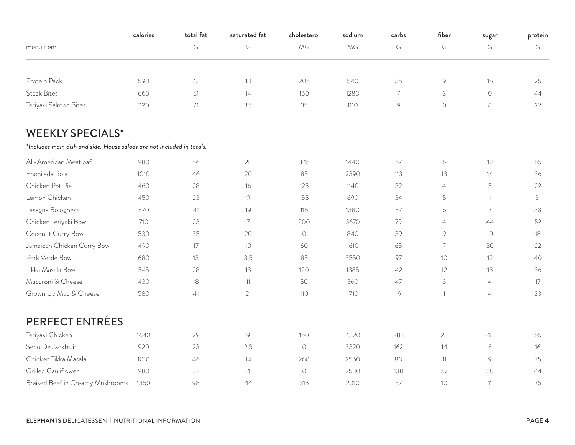|                                                                        | calories | total fat | saturated fat  | cholesterol | sodium | carbs | fiber                     | sugar                                   | protein |
|------------------------------------------------------------------------|----------|-----------|----------------|-------------|--------|-------|---------------------------|-----------------------------------------|---------|
| menu item                                                              |          | G         | G              | MG          | MG     | G     | G                         | G                                       | G       |
| Protein Pack                                                           | 590      | 43        | 13             | 205         | 540    | 35    | $\circledcirc$            | 15                                      | 25      |
| <b>Steak Bites</b>                                                     | 660      | 51        | 14             | 160         | 1280   | 7     | 3                         | $\bigcirc$                              | 44      |
| Teriyaki Salmon Bites                                                  | 320      | 21        | 3.5            | 35          | 1110   | 9     | $\circ$                   | $\,8\,$                                 | 22      |
| <b>WEEKLY SPECIALS*</b>                                                |          |           |                |             |        |       |                           |                                         |         |
| *Includes main dish and side. House salads are not included in totals. |          |           |                |             |        |       |                           |                                         |         |
| All-American Meatloaf                                                  | 980      | 56        | 28             | 345         | 1440   | 57    | 5                         | 12                                      | 55      |
| Enchilada Roja                                                         | 1010     | 46        | 20             | 85          | 2390   | 113   | 13                        | 14                                      | 36      |
| Chicken Pot Pie                                                        | 460      | 28        | 16             | 125         | 1140   | 32    | $\overline{4}$            | 5                                       | 22      |
| Lemon Chicken                                                          | 450      | 23        | $\circ$        | 155         | 690    | 34    | 5                         | $\mathbf{1}$                            | 31      |
| Lasagna Bolognese                                                      | 870      | 41        | 19             | 115         | 1380   | 87    | 6                         | 7                                       | 38      |
| Chicken Teriyaki Bowl                                                  | 710      | 23        | 7              | 200         | 3670   | 79    | $\overline{4}$            | 44                                      | 52      |
| Coconut Curry Bowl                                                     | 530      | 35        | 20             | $\circ$     | 840    | 39    | 9                         | 10 <sup>°</sup>                         | 18      |
| Jamaican Chicken Curry Bowl                                            | 490      | 17        | 10             | 60          | 1610   | 65    | $\overline{7}$            | 30                                      | 22      |
| Pork Verde Bowl                                                        | 680      | 13        | 3.5            | 85          | 3550   | 97    | 10                        | 12                                      | 40      |
| Tikka Masala Bowl                                                      | 545      | 28        | 13             | 120         | 1385   | 42    | 12                        | 13                                      | 36      |
| Macaroni & Cheese                                                      | 430      | 18        | 11             | 50          | 360    | 47    | $\ensuremath{\mathsf{3}}$ | $\overline{4}$                          | 17      |
| Grown Up Mac & Cheese                                                  | 580      | 41        | 21             | 110         | 1710   | 19    | $\overline{1}$            | $\ensuremath{\mathnormal{\mathcal{A}}}$ | 33      |
| <b>PERFECT ENTRÉES</b>                                                 |          |           |                |             |        |       |                           |                                         |         |
| Teriyaki Chicken                                                       | 1640     | 29        | $\circledcirc$ | 150         | 4320   | 283   | 28                        | 48                                      | 55      |
| Seco De Jackfruit                                                      | 920      | 23        | 2.5            | $\circ$     | 3320   | 162   | 14                        | $\,8\,$                                 | 16      |
| Chicken Tikka Masala                                                   | 1010     | 46        | 14             | 260         | 2560   | 80    | 11                        | 9                                       | 75      |
| Grilled Cauliflower                                                    | 980      | 32        | $\overline{4}$ | $\bigcirc$  | 2580   | 138   | 57                        | 20                                      | 44      |
| Braised Beef in Creamy Mushrooms                                       | 1350     | 98        | 44             | 315         | 2010   | 37    | 10                        | 11                                      | 75      |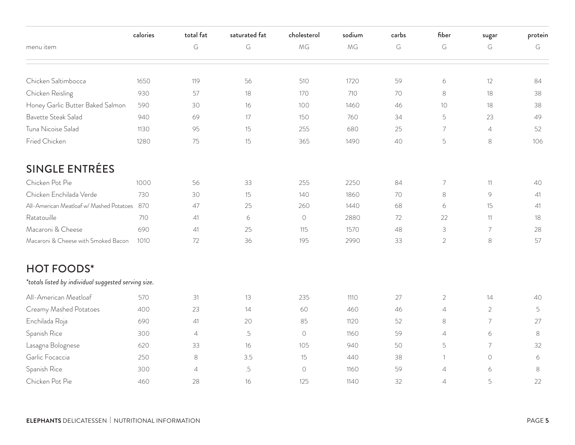|                                                      | calories | total fat                  | saturated fat | cholesterol | sodium | carbs | fiber                     | sugar          | protein |
|------------------------------------------------------|----------|----------------------------|---------------|-------------|--------|-------|---------------------------|----------------|---------|
| menu item                                            |          | $\mathsf G$                | G             | MG          | MG     | G     | G                         | G              | G       |
| Chicken Saltimbocca                                  | 1650     | 119                        | 56            | 510         | 1720   | 59    | 6                         | 12             | 84      |
| Chicken Reisling                                     | 930      | 57                         | 18            | 170         | 710    | 70    | $\,8\,$                   | 18             | 38      |
| Honey Garlic Butter Baked Salmon                     | 590      | 30                         | 16            | 100         | 1460   | 46    | 10                        | 18             | 38      |
| Bavette Steak Salad                                  | 940      | 69                         | 17            | 150         | 760    | 34    | 5                         | 23             | 49      |
| Tuna Nicoise Salad                                   | 1130     | 95                         | 15            | 255         | 680    | 25    | $\overline{7}$            | $\overline{4}$ | 52      |
| Fried Chicken                                        | 1280     | 75                         | 15            | 365         | 1490   | 40    | 5                         | $\,8\,$        | 106     |
| <b>SINGLE ENTRÉES</b>                                |          |                            |               |             |        |       |                           |                |         |
| Chicken Pot Pie                                      | 1000     | 56                         | 33            | 255         | 2250   | 84    | $\overline{7}$            | 11             | 40      |
| Chicken Enchilada Verde                              | 730      | 30                         | 15            | 140         | 1860   | 70    | $\,8\,$                   | 9              | 41      |
| All-American Meatloaf w/ Mashed Potatoes             | 870      | 47                         | 25            | 260         | 1440   | 68    | 6                         | 15             | 41      |
| Ratatouille                                          | 710      | 41                         | $\epsilon$    | $\bigcirc$  | 2880   | 72    | 22                        | 11             | 18      |
| Macaroni & Cheese                                    | 690      | 41                         | 25            | 115         | 1570   | 48    | $\ensuremath{\mathsf{3}}$ | $\overline{7}$ | 28      |
| Macaroni & Cheese with Smoked Bacon                  | 1010     | 72                         | 36            | 195         | 2990   | 33    | $\overline{2}$            | 8              | 57      |
| <b>HOT FOODS*</b>                                    |          |                            |               |             |        |       |                           |                |         |
| *totals listed by individual suggested serving size. |          |                            |               |             |        |       |                           |                |         |
| All-American Meatloaf                                | 570      | 31                         | 13            | 235         | 1110   | 27    | $\overline{2}$            | 14             | 40      |
| Creamy Mashed Potatoes                               | 400      | 23                         | 14            | 60          | 460    | 46    | $\overline{4}$            | $\overline{2}$ | 5       |
| Enchilada Roja                                       | 690      | 41                         | 20            | 85          | 1120   | 52    | $\,8\,$                   | 7              | 27      |
| Spanish Rice                                         | 300      | $\ensuremath{\mathcal{A}}$ | .5            | $\bigcirc$  | 1160   | 59    | $\overline{4}$            | 6              | 8       |
| Lasagna Bolognese                                    | 620      | 33                         | 16            | 105         | 940    | 50    | 5                         | $\overline{7}$ | 32      |
| Garlic Focaccia                                      | 250      | 8                          | 3.5           | 15          | 440    | 38    | 1                         | $\bigcirc$     | 6       |
| Spanish Rice                                         | 300      | $\sqrt{4}$                 | .5            | $\bigcirc$  | 1160   | 59    | $\overline{4}$            | 6              | 8       |
| Chicken Pot Pie                                      | 460      | 28                         | 16            | 125         | 1140   | 32    | $\overline{4}$            | 5              | 22      |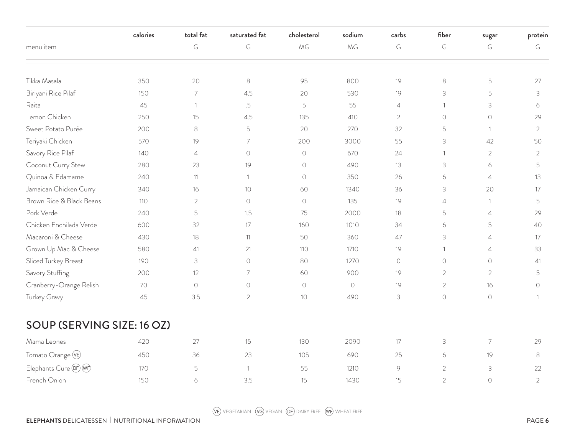|                            | calories | total fat                 | saturated fat  | cholesterol | sodium     | carbs          | fiber          | sugar               | protein        |
|----------------------------|----------|---------------------------|----------------|-------------|------------|----------------|----------------|---------------------|----------------|
| menu item                  |          | G                         | G              | MG          | MG         | G              | G              | G                   | G              |
|                            |          |                           |                |             |            |                |                |                     |                |
| Tikka Masala               | 350      | 20                        | 8              | 95          | 800        | 19             | $\,8\,$        | 5                   | 27             |
| Biriyani Rice Pilaf        | 150      | 7                         | 4.5            | 20          | 530        | 19             | 3              | 5                   | $\mathsf 3$    |
| Raita                      | 45       | $\overline{1}$            | .5             | 5           | 55         | $\overline{4}$ | $\mathbf{1}$   | 3                   | 6              |
| Lemon Chicken              | 250      | 15                        | 4.5            | 135         | 410        | $\overline{2}$ | $\circ$        | $\circ$             | 29             |
| Sweet Potato Purée         | 200      | 8                         | 5              | 20          | 270        | 32             | 5              | $\mathbf{1}$        | $\overline{2}$ |
| Teriyaki Chicken           | 570      | 19                        | $\overline{7}$ | 200         | 3000       | 55             | $\mathsf 3$    | 42                  | 50             |
| Savory Rice Pilaf          | 140      | $\overline{4}$            | $\circ$        | $\circ$     | 670        | 24             | $\mathbf{1}$   | $\overline{2}$      | $\overline{2}$ |
| Coconut Curry Stew         | 280      | 23                        | 19             | $\circ$     | 490        | 13             | 3              | 6                   | 5              |
| Quinoa & Edamame           | 240      | 11                        | 1              | $\bigcirc$  | 350        | 26             | 6              | $\overline{4}$      | 13             |
| Jamaican Chicken Curry     | 340      | 16                        | 10             | 60          | 1340       | 36             | $\mathsf 3$    | 20                  | 17             |
| Brown Rice & Black Beans   | 110      | 2                         | $\circ$        | $\circ$     | 135        | 19             | $\overline{4}$ | $\mathbf{1}$        | 5              |
| Pork Verde                 | 240      | 5                         | 1.5            | 75          | 2000       | 18             | 5              | $\overline{4}$      | 29             |
| Chicken Enchilada Verde    | 600      | 32                        | 17             | 160         | 1010       | 34             | 6              | 5                   | 40             |
| Macaroni & Cheese          | 430      | 18                        | 11             | 50          | 360        | 47             | 3              | $\overline{4}$      | 17             |
| Grown Up Mac & Cheese      | 580      | 41                        | 21             | 110         | 1710       | 19             | 1              | $\overline{4}$      | 33             |
| Sliced Turkey Breast       | 190      | $\ensuremath{\mathsf{3}}$ | $\bigcirc$     | 80          | 1270       | $\bigcirc$     | $\bigcirc$     | $\circlearrowright$ | 41             |
| Savory Stuffing            | 200      | 12                        | $\overline{7}$ | 60          | 900        | 19             | 2              | $\overline{2}$      | 5              |
| Cranberry-Orange Relish    | 70       | $\bigcirc$                | $\circ$        | $\circ$     | $\bigcirc$ | 19             | $\overline{2}$ | 16                  | $\bigcirc$     |
| Turkey Gravy               | 45       | 3.5                       | $\overline{2}$ | 10          | 490        | $\mathsf S$    | $\bigcirc$     | $\bigcirc$          | -1             |
| SOUP (SERVING SIZE: 16 OZ) |          |                           |                |             |            |                |                |                     |                |
| Mama Leones                | 420      | 27                        | 15             | 130         | 2090       | 17             | 3              | $\overline{7}$      | 29             |
| Tomato Orange (VE)         | 450      | 36                        | 23             | 105         | 690        | 25             | 6              | 19                  | 8              |
| Elephants Cure OF WF       | 170      | 5                         | $\mathbf{1}$   | 55          | 1210       | 9              | $\overline{2}$ | 3                   | 22             |
| French Onion               | 150      | 6                         | 3.5            | 15          | 1430       | 15             | $\overline{2}$ | $\bigcirc$          | $\overline{2}$ |

WE VEGETARIAN (VG) VEGAN (DF) DAIRY FREE (WF) WHEAT FREE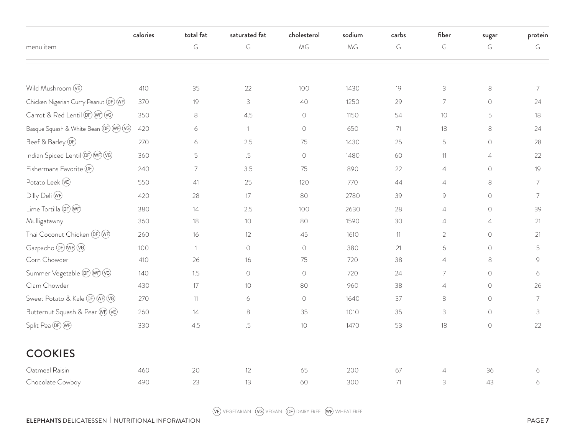|                                           | calories | total fat      | saturated fat | cholesterol | sodium | carbs | fiber          | sugar          | protein        |
|-------------------------------------------|----------|----------------|---------------|-------------|--------|-------|----------------|----------------|----------------|
| menu item                                 |          | G              | G             | MG          | MG     | G     | G              | G              | G              |
|                                           |          |                |               |             |        |       |                |                |                |
| Wild Mushroom (VE)                        | 410      | 35             | 22            | 100         | 1430   | 19    | $\mathsf S$    | $\,8\,$        | $\overline{7}$ |
| Chicken Nigerian Curry Peanut (DF) (WF)   | 370      | 19             | 3             | 40          | 1250   | 29    | $\overline{7}$ | $\bigcirc$     | 24             |
| Carrot & Red Lentil (DF) (WF) (VG)        | 350      | $\,8\,$        | 4.5           | $\bigcirc$  | 1150   | 54    | 10             | 5              | 18             |
| Basque Squash & White Bean (DF) (WF) (VG) | 420      | 6              | $\mathbf{1}$  | $\circ$     | 650    | 71    | 18             | $\,8\,$        | 24             |
| Beef & Barley <sup>(DF)</sup>             | 270      | 6              | 2.5           | 75          | 1430   | 25    | 5              | $\bigcirc$     | 28             |
| Indian Spiced Lentil OF WF VG             | 360      | 5              | .5            | $\bigcirc$  | 1480   | 60    | 11             | $\overline{4}$ | 22             |
| Fishermans Favorite (DF)                  | 240      | 7              | 3.5           | 75          | 890    | 22    | $\overline{4}$ | $\bigcirc$     | 19             |
| Potato Leek (VE)                          | 550      | 41             | 25            | 120         | 770    | 44    | $\overline{4}$ | $\,8\,$        | 7              |
| Dilly Deli WF                             | 420      | 28             | 17            | 80          | 2780   | 39    | 9              | $\bigcirc$     | 7              |
| Lime Tortilla (DF) (WF)                   | 380      | 14             | 2.5           | 100         | 2630   | 28    | $\overline{4}$ | $\bigcirc$     | 39             |
| Mulligatawny                              | 360      | 18             | 10            | 80          | 1590   | 30    | $\overline{4}$ | $\overline{4}$ | 21             |
| Thai Coconut Chicken (DF) (WF)            | 260      | 16             | 12            | 45          | 1610   | 11    | $\overline{2}$ | $\bigcirc$     | 21             |
| Gazpacho (DF) (WF) (VG)                   | 100      | $\overline{1}$ | $\bigcirc$    | $\bigcirc$  | 380    | 21    | 6              | $\bigcirc$     | 5              |
| Corn Chowder                              | 410      | 26             | 16            | 75          | 720    | 38    | $\overline{4}$ | $\,8\,$        | 9              |
| Summer Vegetable (DF) (WF) (VG)           | 140      | 1.5            | $\circ$       | $\bigcirc$  | 720    | 24    | $\overline{7}$ | $\circ$        | 6              |
| Clam Chowder                              | 430      | 17             | 10            | 80          | 960    | 38    | $\overline{4}$ | $\circ$        | 26             |
| Sweet Potato & Kale OF WF VG              | 270      | 11             | 6             | $\bigcirc$  | 1640   | 37    | $\,8\,$        | $\bigcirc$     | 7              |
| Butternut Squash & Pear WF VE             | 260      | 14             | $\,8\,$       | 35          | 1010   | 35    | 3              | $\circ$        | 3              |
| Split Pea OF WF                           | 330      | 4.5            | .5            | 10          | 1470   | 53    | 18             | $\bigcirc$     | 22             |
| <b>COOKIES</b>                            |          |                |               |             |        |       |                |                |                |
| Oatmeal Raisin                            | 460      | 20             | 12            | 65          | 200    | 67    | $\overline{4}$ | 36             | 6              |
| Chocolate Cowboy                          | 490      | 23             | 13            | 60          | 300    | 71    | 3              | 43             | 6              |

WE VEGETARIAN (VG) VEGAN (DF) DAIRY FREE (WF) WHEAT FREE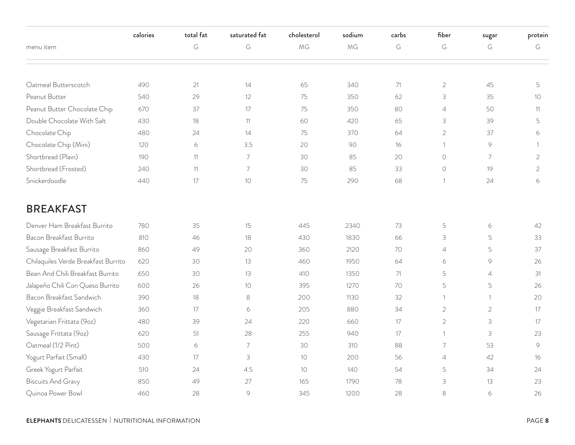|                                     | calories | total fat | saturated fat   | cholesterol     | sodium | carbs | fiber          | sugar          | protein        |
|-------------------------------------|----------|-----------|-----------------|-----------------|--------|-------|----------------|----------------|----------------|
| menu item                           |          | G         | G               | MG              | MG     | G     | G              | G              | G              |
|                                     |          |           |                 |                 |        |       |                |                |                |
| Oatmeal Butterscotch                | 490      | 21        | 14              | 65              | 340    | 71    | $\overline{2}$ | 45             | 5              |
| Peanut Butter                       | 540      | 29        | 12              | 75              | 350    | 62    | 3              | 35             | 10             |
| Peanut Butter Chocolate Chip        | 670      | 37        | 17              | 75              | 350    | 80    | $\overline{4}$ | 50             | 11             |
| Double Chocolate With Salt          | 430      | 18        | 11              | 60              | 420    | 65    | 3              | 39             | 5              |
| Chocolate Chip                      | 480      | 24        | 14              | 75              | 370    | 64    | $\overline{2}$ | 37             | 6              |
| Chocolate Chip (Mini)               | 120      | 6         | 3.5             | 20              | 90     | 16    | 1              | 9              | 1              |
| Shortbread (Plain)                  | 190      | 11        | $\overline{7}$  | 30              | 85     | 20    | $\bigcirc$     | $\overline{7}$ | $\overline{2}$ |
| Shortbread (Frosted)                | 240      | 11        | $\overline{7}$  | 30              | 85     | 33    | $\circ$        | 19             | $\overline{2}$ |
| Snickerdoodle                       | 440      | 17        | 10 <sup>°</sup> | 75              | 290    | 68    | $\mathbf{1}$   | 24             | 6              |
| <b>BREAKFAST</b>                    |          |           |                 |                 |        |       |                |                |                |
| Denver Ham Breakfast Burrito        | 780      | 35        | 15              | 445             | 2340   | 73    | $\mathsf S$    | $\epsilon$     | 42             |
| Bacon Breakfast Burrito             | 810      | 46        | 18              | 430             | 1830   | 66    | 3              | 5              | 33             |
| Sausage Breakfast Burrito           | 860      | 49        | 20              | 360             | 2120   | 70    | $\overline{4}$ | 5              | 37             |
| Chilaquiles Verde Breakfast Burrito | 620      | 30        | 13              | 460             | 1950   | 64    | 6              | 9              | 26             |
| Bean And Chili Breakfast Burrito    | 650      | 30        | 13              | 410             | 1350   | 71    | 5              | $\overline{4}$ | 31             |
| Jalapeño Chili Con Queso Burrito    | 600      | 26        | 10              | 395             | 1270   | 70    | 5              | 5              | 26             |
| Bacon Breakfast Sandwich            | 390      | 18        | 8               | 200             | 1130   | 32    | $\mathbf{1}$   | $\mathbf{1}$   | 20             |
| Veggie Breakfast Sandwich           | 360      | 17        | 6               | 205             | 880    | 34    | $\overline{2}$ | 2              | 17             |
| Vegetarian Frittata (9oz)           | 480      | 39        | 24              | 220             | 660    | 17    | $\overline{2}$ | 3              | 17             |
| Sausage Frittata (9oz)              | 620      | 51        | 28              | 255             | 940    | 17    | $\mathbf{1}$   | 3              | 23             |
| Oatmeal (1/2 Pint)                  | 500      | 6         | $\overline{7}$  | 30              | 310    | 88    | $\overline{7}$ | 53             | 9              |
| Yogurt Parfait (Small)              | 430      | 17        | 3               | 10              | 200    | 56    | $\overline{4}$ | 42             | 16             |
| Greek Yogurt Parfait                | 510      | 24        | 4.5             | 10 <sup>°</sup> | 140    | 54    | 5              | 34             | 24             |
| <b>Biscuits And Gravy</b>           | 850      | 49        | 27              | 165             | 1790   | 78    | 3              | 13             | 23             |
| Quinoa Power Bowl                   | 460      | 28        | 9               | 345             | 1200   | 28    | 8              | 6              | 26             |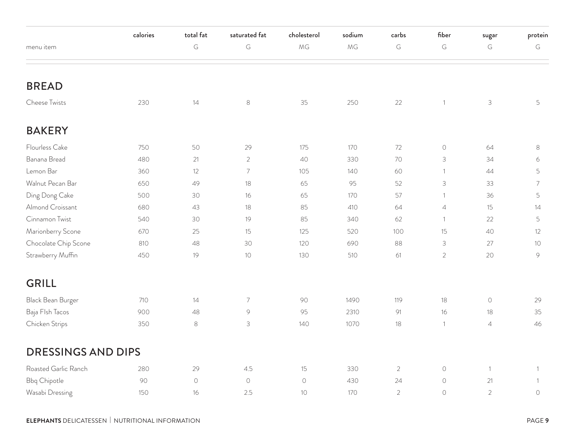|                           | calories | total fat  | saturated fat  | cholesterol | sodium | carbs          | fiber          | sugar                     | protein        |
|---------------------------|----------|------------|----------------|-------------|--------|----------------|----------------|---------------------------|----------------|
| menu item                 |          | G          | $\mathsf G$    | MG          | MG     | $\mathsf G$    | G              | $\mathsf G$               | $\mathsf G$    |
| <b>BREAD</b>              |          |            |                |             |        |                |                |                           |                |
| Cheese Twists             | 230      | 14         | $\,8\,$        | 35          | 250    | 22             | $\mathbf{1}$   | $\ensuremath{\mathsf{3}}$ | 5              |
| <b>BAKERY</b>             |          |            |                |             |        |                |                |                           |                |
| Flourless Cake            | 750      | 50         | 29             | 175         | 170    | 72             | $\bigcirc$     | 64                        | $\,8\,$        |
| Banana Bread              | 480      | 21         | $\overline{2}$ | 40          | 330    | 70             | 3              | 34                        | 6              |
| Lemon Bar                 | 360      | 12         | 7              | 105         | 140    | 60             | $\mathbf{1}$   | 44                        | 5              |
| Walnut Pecan Bar          | 650      | 49         | 18             | 65          | 95     | 52             | 3              | 33                        | $\overline{7}$ |
| Ding Dong Cake            | 500      | 30         | 16             | 65          | 170    | 57             | $\mathbf{1}$   | 36                        | 5              |
| Almond Croissant          | 680      | 43         | 18             | 85          | 410    | 64             | $\overline{4}$ | 15                        | 14             |
| Cinnamon Twist            | 540      | 30         | 19             | 85          | 340    | 62             | $\mathbf{1}$   | 22                        | 5              |
| Marionberry Scone         | 670      | 25         | 15             | 125         | 520    | 100            | 15             | 40                        | 12             |
| Chocolate Chip Scone      | 810      | 48         | 30             | 120         | 690    | 88             | 3              | 27                        | 10             |
| Strawberry Muffin         | 450      | 19         | 10             | 130         | 510    | 61             | $\overline{2}$ | 20                        | $\mathcal{G}$  |
| <b>GRILL</b>              |          |            |                |             |        |                |                |                           |                |
| Black Bean Burger         | 710      | 14         | $\overline{7}$ | 90          | 1490   | 119            | 18             | $\bigcirc$                | 29             |
| Baja Flsh Tacos           | 900      | 48         | $\mathcal{G}$  | 95          | 2310   | 91             | 16             | 18                        | 35             |
| Chicken Strips            | 350      | $\,8\,$    | 3              | 140         | 1070   | 18             | $\overline{1}$ | $\overline{4}$            | 46             |
| <b>DRESSINGS AND DIPS</b> |          |            |                |             |        |                |                |                           |                |
| Roasted Garlic Ranch      | 280      | 29         | 4.5            | 15          | 330    | $\overline{2}$ | $\bigcirc$     | $\overline{1}$            | 1              |
| <b>Bbq Chipotle</b>       | 90       | $\bigcirc$ | $\bigcirc$     | $\bigcirc$  | 430    | 24             | $\bigcirc$     | 21                        | $\overline{1}$ |
| Wasabi Dressing           | 150      | 16         | 2.5            | 10          | 170    | $\overline{2}$ | $\bigcirc$     | $\overline{2}$            | $\bigcirc$     |